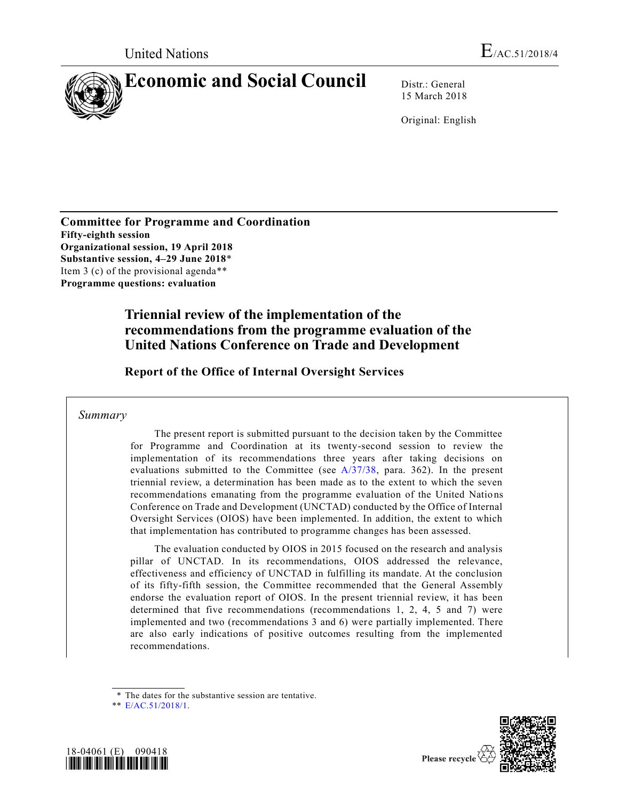

15 March 2018

Original: English

**Committee for Programme and Coordination Fifty-eighth session Organizational session, 19 April 2018 Substantive session, 4–29 June 2018**\* Item 3 (c) of the provisional agenda\*\* **Programme questions: evaluation**

> **Triennial review of the implementation of the recommendations from the programme evaluation of the United Nations Conference on Trade and Development**

**Report of the Office of Internal Oversight Services** 

# *Summary*

The present report is submitted pursuant to the decision taken by the Committee for Programme and Coordination at its twenty-second session to review the implementation of its recommendations three years after taking decisions on evaluations submitted to the Committee (see [A/37/38,](https://undocs.org/A/37/38) para. 362). In the present triennial review, a determination has been made as to the extent to which the seven recommendations emanating from the programme evaluation of the United Nations Conference on Trade and Development (UNCTAD) conducted by the Office of Internal Oversight Services (OIOS) have been implemented. In addition, the extent to which that implementation has contributed to programme changes has been assessed.

The evaluation conducted by OIOS in 2015 focused on the research and analysis pillar of UNCTAD. In its recommendations, OIOS addressed the relevance, effectiveness and efficiency of UNCTAD in fulfilling its mandate. At the conclusion of its fifty-fifth session, the Committee recommended that the General Assembly endorse the evaluation report of OIOS. In the present triennial review, it has been determined that five recommendations (recommendations 1, 2, 4, 5 and 7) were implemented and two (recommendations 3 and 6) were partially implemented. There are also early indications of positive outcomes resulting from the implemented recommendations.

<sup>\*\*</sup> [E/AC.51/2018/1.](https://undocs.org/E/AC.51/2018/1)





<sup>\*</sup> The dates for the substantive session are tentative.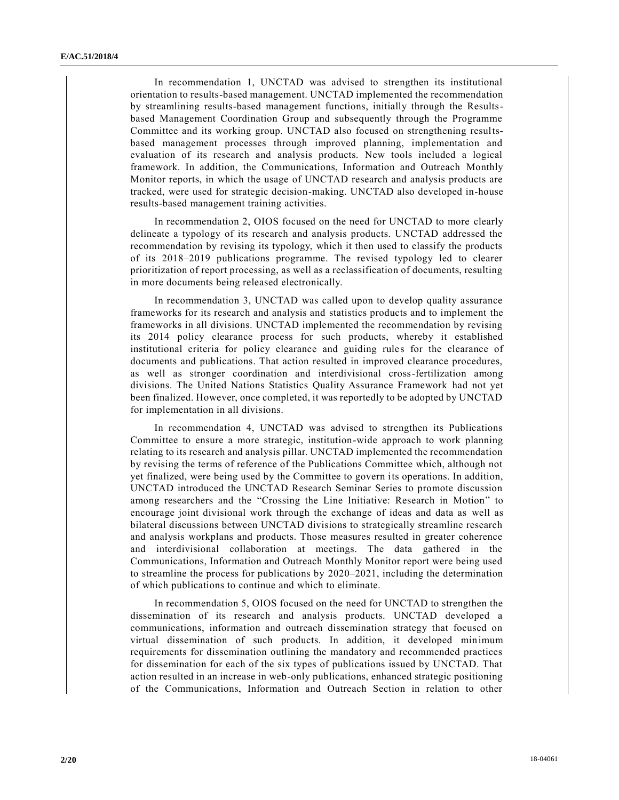In recommendation 1, UNCTAD was advised to strengthen its institutional orientation to results-based management. UNCTAD implemented the recommendation by streamlining results-based management functions, initially through the Resultsbased Management Coordination Group and subsequently through the Programme Committee and its working group. UNCTAD also focused on strengthening resultsbased management processes through improved planning, implementation and evaluation of its research and analysis products. New tools included a logical framework. In addition, the Communications, Information and Outreach Monthly Monitor reports, in which the usage of UNCTAD research and analysis products are tracked, were used for strategic decision-making. UNCTAD also developed in-house results-based management training activities.

In recommendation 2, OIOS focused on the need for UNCTAD to more clearly delineate a typology of its research and analysis products. UNCTAD addressed the recommendation by revising its typology, which it then used to classify the products of its 2018–2019 publications programme. The revised typology led to clearer prioritization of report processing, as well as a reclassification of documents, resulting in more documents being released electronically.

In recommendation 3, UNCTAD was called upon to develop quality assurance frameworks for its research and analysis and statistics products and to implement the frameworks in all divisions. UNCTAD implemented the recommendation by revising its 2014 policy clearance process for such products, whereby it established institutional criteria for policy clearance and guiding rules for the clearance of documents and publications. That action resulted in improved clearance procedures, as well as stronger coordination and interdivisional cross-fertilization among divisions. The United Nations Statistics Quality Assurance Framework had not yet been finalized. However, once completed, it was reportedly to be adopted by UNCTAD for implementation in all divisions.

In recommendation 4, UNCTAD was advised to strengthen its Publications Committee to ensure a more strategic, institution-wide approach to work planning relating to its research and analysis pillar. UNCTAD implemented the recommendation by revising the terms of reference of the Publications Committee which, although not yet finalized, were being used by the Committee to govern its operations. In addition, UNCTAD introduced the UNCTAD Research Seminar Series to promote discussion among researchers and the "Crossing the Line Initiative: Research in Motion" to encourage joint divisional work through the exchange of ideas and data as well as bilateral discussions between UNCTAD divisions to strategically streamline research and analysis workplans and products. Those measures resulted in greater coherence and interdivisional collaboration at meetings. The data gathered in the Communications, Information and Outreach Monthly Monitor report were being used to streamline the process for publications by 2020–2021, including the determination of which publications to continue and which to eliminate.

In recommendation 5, OIOS focused on the need for UNCTAD to strengthen the dissemination of its research and analysis products. UNCTAD developed a communications, information and outreach dissemination strategy that focused on virtual dissemination of such products. In addition, it developed minimum requirements for dissemination outlining the mandatory and recommended practices for dissemination for each of the six types of publications issued by UNCTAD. That action resulted in an increase in web-only publications, enhanced strategic positioning of the Communications, Information and Outreach Section in relation to other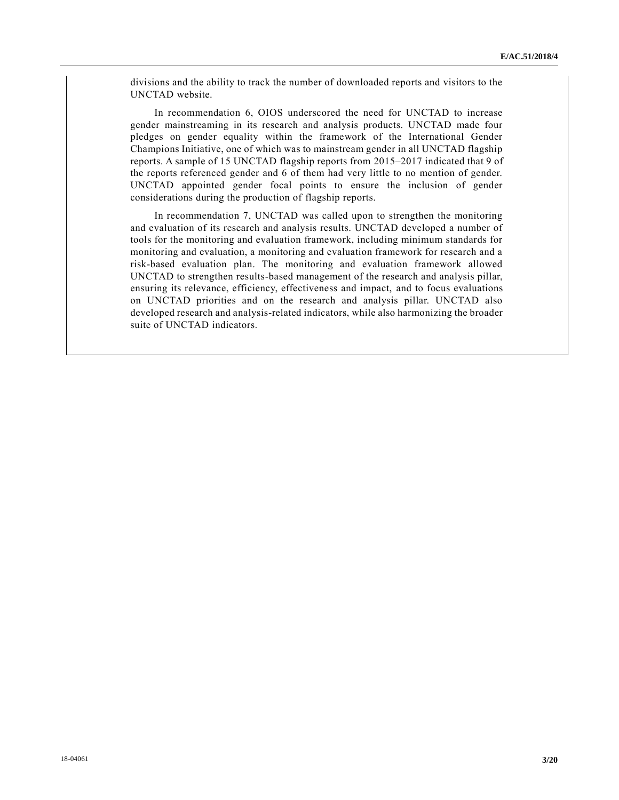divisions and the ability to track the number of downloaded reports and visitors to the UNCTAD website.

In recommendation 6, OIOS underscored the need for UNCTAD to increase gender mainstreaming in its research and analysis products. UNCTAD made four pledges on gender equality within the framework of the International Gender Champions Initiative, one of which was to mainstream gender in all UNCTAD flagship reports. A sample of 15 UNCTAD flagship reports from 2015–2017 indicated that 9 of the reports referenced gender and 6 of them had very little to no mention of gender. UNCTAD appointed gender focal points to ensure the inclusion of gender considerations during the production of flagship reports.

In recommendation 7, UNCTAD was called upon to strengthen the monitoring and evaluation of its research and analysis results. UNCTAD developed a number of tools for the monitoring and evaluation framework, including minimum standards for monitoring and evaluation, a monitoring and evaluation framework for research and a risk-based evaluation plan. The monitoring and evaluation framework allowed UNCTAD to strengthen results-based management of the research and analysis pillar, ensuring its relevance, efficiency, effectiveness and impact, and to focus evaluations on UNCTAD priorities and on the research and analysis pillar. UNCTAD also developed research and analysis-related indicators, while also harmonizing the broader suite of UNCTAD indicators.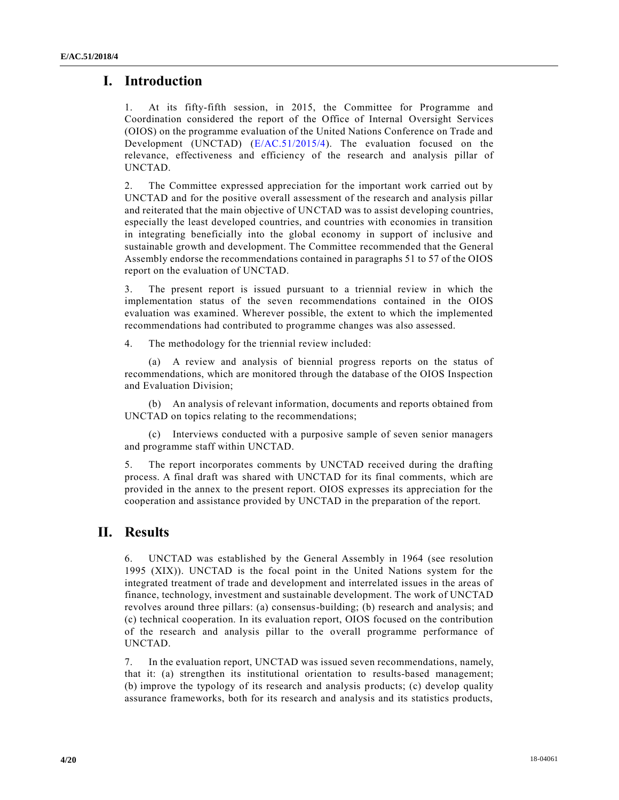# **I. Introduction**

1. At its fifty-fifth session, in 2015, the Committee for Programme and Coordination considered the report of the Office of Internal Oversight Services (OIOS) on the programme evaluation of the United Nations Conference on Trade and Development (UNCTAD) [\(E/AC.51/2015/4\)](https://undocs.org/E/AC.51/2015/4). The evaluation focused on the relevance, effectiveness and efficiency of the research and analysis pillar of UNCTAD.

2. The Committee expressed appreciation for the important work carried out by UNCTAD and for the positive overall assessment of the research and analysis pillar and reiterated that the main objective of UNCTAD was to assist developing countries, especially the least developed countries, and countries with economies in transition in integrating beneficially into the global economy in support of inclusive and sustainable growth and development. The Committee recommended that the General Assembly endorse the recommendations contained in paragraphs 51 to 57 of the OIOS report on the evaluation of UNCTAD.

3. The present report is issued pursuant to a triennial review in which the implementation status of the seven recommendations contained in the OIOS evaluation was examined. Wherever possible, the extent to which the implemented recommendations had contributed to programme changes was also assessed.

4. The methodology for the triennial review included:

(a) A review and analysis of biennial progress reports on the status of recommendations, which are monitored through the database of the OIOS Inspection and Evaluation Division;

(b) An analysis of relevant information, documents and reports obtained from UNCTAD on topics relating to the recommendations;

(c) Interviews conducted with a purposive sample of seven senior managers and programme staff within UNCTAD.

5. The report incorporates comments by UNCTAD received during the drafting process. A final draft was shared with UNCTAD for its final comments, which are provided in the annex to the present report. OIOS expresses its appreciation for the cooperation and assistance provided by UNCTAD in the preparation of the report.

# **II. Results**

6. UNCTAD was established by the General Assembly in 1964 (see resolution 1995 (XIX)). UNCTAD is the focal point in the United Nations system for the integrated treatment of trade and development and interrelated issues in the areas of finance, technology, investment and sustainable development. The work of UNCTAD revolves around three pillars: (a) consensus-building; (b) research and analysis; and (c) technical cooperation. In its evaluation report, OIOS focused on the contribution of the research and analysis pillar to the overall programme performance of UNCTAD.

7. In the evaluation report, UNCTAD was issued seven recommendations, namely, that it: (a) strengthen its institutional orientation to results-based management; (b) improve the typology of its research and analysis products; (c) develop quality assurance frameworks, both for its research and analysis and its statistics products,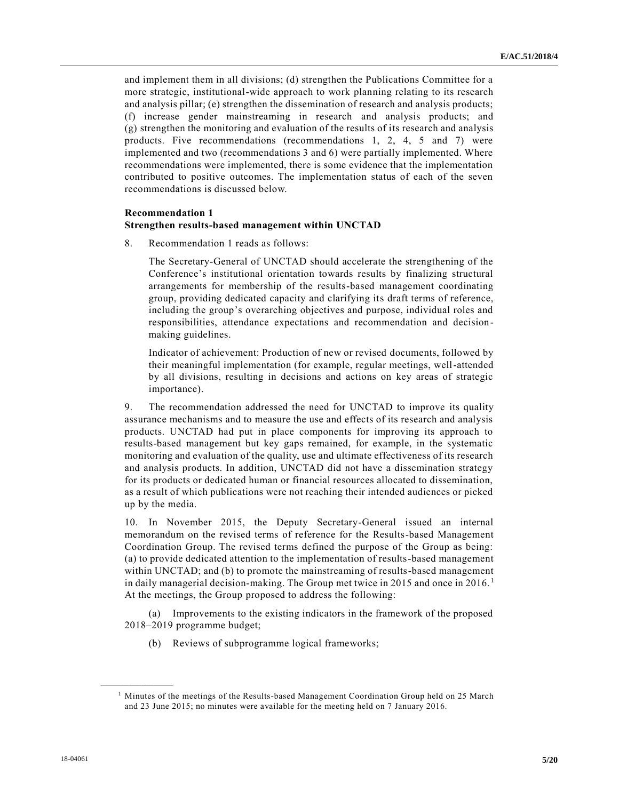and implement them in all divisions; (d) strengthen the Publications Committee for a more strategic, institutional-wide approach to work planning relating to its research and analysis pillar; (e) strengthen the dissemination of research and analysis products; (f) increase gender mainstreaming in research and analysis products; and (g) strengthen the monitoring and evaluation of the results of its research and analysis products. Five recommendations (recommendations 1, 2, 4, 5 and 7) were implemented and two (recommendations 3 and 6) were partially implemented. Where recommendations were implemented, there is some evidence that the implementation contributed to positive outcomes. The implementation status of each of the seven recommendations is discussed below.

#### **Recommendation 1 Strengthen results-based management within UNCTAD**

8. Recommendation 1 reads as follows:

The Secretary-General of UNCTAD should accelerate the strengthening of the Conference's institutional orientation towards results by finalizing structural arrangements for membership of the results-based management coordinating group, providing dedicated capacity and clarifying its draft terms of reference, including the group's overarching objectives and purpose, individual roles and responsibilities, attendance expectations and recommendation and decisionmaking guidelines.

Indicator of achievement: Production of new or revised documents, followed by their meaningful implementation (for example, regular meetings, well-attended by all divisions, resulting in decisions and actions on key areas of strategic importance).

9. The recommendation addressed the need for UNCTAD to improve its quality assurance mechanisms and to measure the use and effects of its research and analysis products. UNCTAD had put in place components for improving its approach to results-based management but key gaps remained, for example, in the systematic monitoring and evaluation of the quality, use and ultimate effectiveness of its research and analysis products. In addition, UNCTAD did not have a dissemination strategy for its products or dedicated human or financial resources allocated to dissemination, as a result of which publications were not reaching their intended audiences or picked up by the media.

10. In November 2015, the Deputy Secretary-General issued an internal memorandum on the revised terms of reference for the Results-based Management Coordination Group. The revised terms defined the purpose of the Group as being: (a) to provide dedicated attention to the implementation of results-based management within UNCTAD; and (b) to promote the mainstreaming of results-based management in daily managerial decision-making. The Group met twice in 2015 and once in 2016.<sup>1</sup> At the meetings, the Group proposed to address the following:

(a) Improvements to the existing indicators in the framework of the proposed 2018–2019 programme budget;

(b) Reviews of subprogramme logical frameworks;

<sup>&</sup>lt;sup>1</sup> Minutes of the meetings of the Results-based Management Coordination Group held on 25 March and 23 June 2015; no minutes were available for the meeting held on 7 January 2016.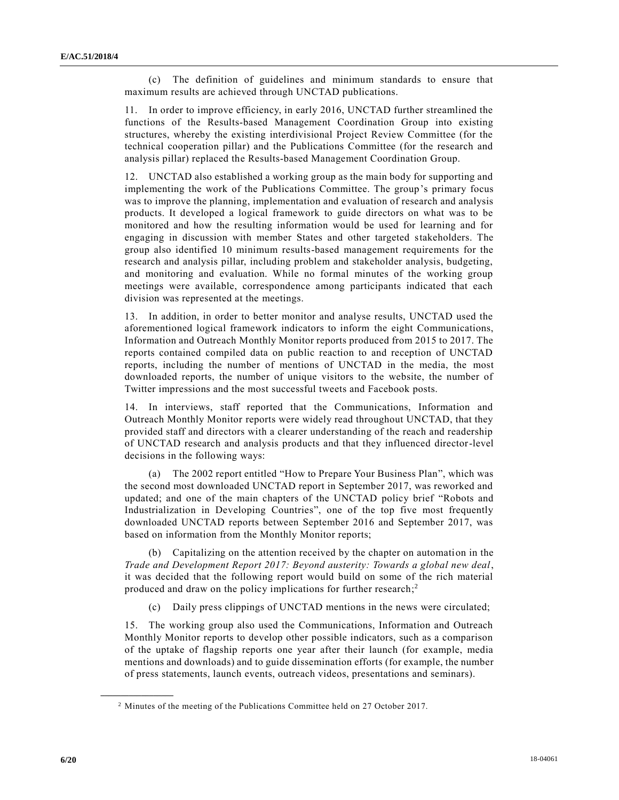(c) The definition of guidelines and minimum standards to ensure that maximum results are achieved through UNCTAD publications.

11. In order to improve efficiency, in early 2016, UNCTAD further streamlined the functions of the Results-based Management Coordination Group into existing structures, whereby the existing interdivisional Project Review Committee (for the technical cooperation pillar) and the Publications Committee (for the research and analysis pillar) replaced the Results-based Management Coordination Group.

12. UNCTAD also established a working group as the main body for supporting and implementing the work of the Publications Committee. The group's primary focus was to improve the planning, implementation and evaluation of research and analysis products. It developed a logical framework to guide directors on what was to be monitored and how the resulting information would be used for learning and for engaging in discussion with member States and other targeted stakeholders. The group also identified 10 minimum results-based management requirements for the research and analysis pillar, including problem and stakeholder analysis, budgeting, and monitoring and evaluation. While no formal minutes of the working group meetings were available, correspondence among participants indicated that each division was represented at the meetings.

13. In addition, in order to better monitor and analyse results, UNCTAD used the aforementioned logical framework indicators to inform the eight Communications, Information and Outreach Monthly Monitor reports produced from 2015 to 2017. The reports contained compiled data on public reaction to and reception of UNCTAD reports, including the number of mentions of UNCTAD in the media, the most downloaded reports, the number of unique visitors to the website, the number of Twitter impressions and the most successful tweets and Facebook posts.

14. In interviews, staff reported that the Communications, Information and Outreach Monthly Monitor reports were widely read throughout UNCTAD, that they provided staff and directors with a clearer understanding of the reach and readership of UNCTAD research and analysis products and that they influenced director-level decisions in the following ways:

(a) The 2002 report entitled "How to Prepare Your Business Plan", which was the second most downloaded UNCTAD report in September 2017, was reworked and updated; and one of the main chapters of the UNCTAD policy brief "Robots and Industrialization in Developing Countries", one of the top five most frequently downloaded UNCTAD reports between September 2016 and September 2017, was based on information from the Monthly Monitor reports;

(b) Capitalizing on the attention received by the chapter on automation in the *Trade and Development Report 2017: Beyond austerity: Towards a global new deal*, it was decided that the following report would build on some of the rich material produced and draw on the policy implications for further research;<sup>2</sup>

Daily press clippings of UNCTAD mentions in the news were circulated;

15. The working group also used the Communications, Information and Outreach Monthly Monitor reports to develop other possible indicators, such as a comparison of the uptake of flagship reports one year after their launch (for example, media mentions and downloads) and to guide dissemination efforts (for example, the number of press statements, launch events, outreach videos, presentations and seminars).

<sup>2</sup> Minutes of the meeting of the Publications Committee held on 27 October 2017.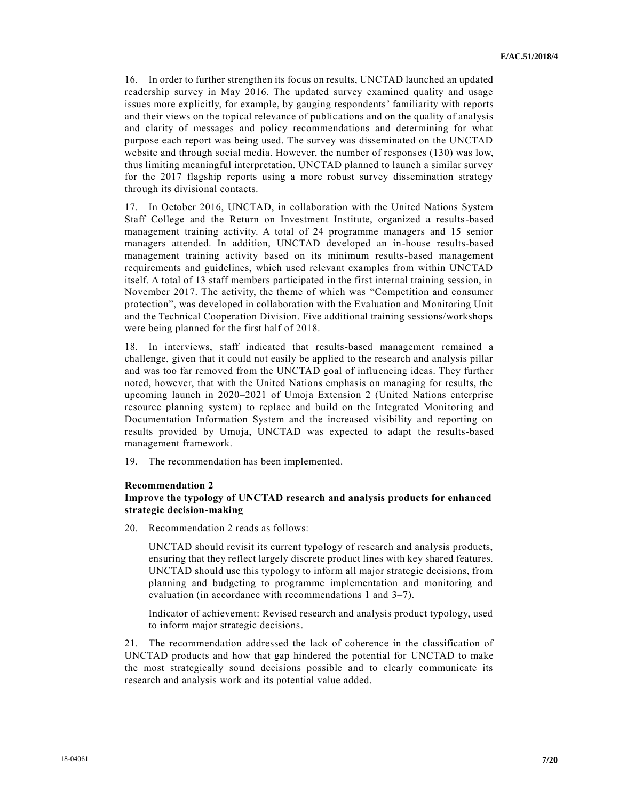16. In order to further strengthen its focus on results, UNCTAD launched an updated readership survey in May 2016. The updated survey examined quality and usage issues more explicitly, for example, by gauging respondents' familiarity with reports and their views on the topical relevance of publications and on the quality of analysis and clarity of messages and policy recommendations and determining for what purpose each report was being used. The survey was disseminated on the UNCTAD website and through social media. However, the number of responses (130) was low, thus limiting meaningful interpretation. UNCTAD planned to launch a similar survey for the 2017 flagship reports using a more robust survey dissemination strategy through its divisional contacts.

17. In October 2016, UNCTAD, in collaboration with the United Nations System Staff College and the Return on Investment Institute, organized a results-based management training activity. A total of 24 programme managers and 15 senior managers attended. In addition, UNCTAD developed an in-house results-based management training activity based on its minimum results-based management requirements and guidelines, which used relevant examples from within UNCTAD itself. A total of 13 staff members participated in the first internal training session, in November 2017. The activity, the theme of which was "Competition and consumer protection", was developed in collaboration with the Evaluation and Monitoring Unit and the Technical Cooperation Division. Five additional training sessions/workshops were being planned for the first half of 2018.

18. In interviews, staff indicated that results-based management remained a challenge, given that it could not easily be applied to the research and analysis pillar and was too far removed from the UNCTAD goal of influencing ideas. They further noted, however, that with the United Nations emphasis on managing for results, the upcoming launch in 2020–2021 of Umoja Extension 2 (United Nations enterprise resource planning system) to replace and build on the Integrated Monitoring and Documentation Information System and the increased visibility and reporting on results provided by Umoja, UNCTAD was expected to adapt the results-based management framework.

19. The recommendation has been implemented.

#### **Recommendation 2**

## **Improve the typology of UNCTAD research and analysis products for enhanced strategic decision-making**

20. Recommendation 2 reads as follows:

UNCTAD should revisit its current typology of research and analysis products, ensuring that they reflect largely discrete product lines with key shared features. UNCTAD should use this typology to inform all major strategic decisions, from planning and budgeting to programme implementation and monitoring and evaluation (in accordance with recommendations 1 and 3–7).

Indicator of achievement: Revised research and analysis product typology, used to inform major strategic decisions.

21. The recommendation addressed the lack of coherence in the classification of UNCTAD products and how that gap hindered the potential for UNCTAD to make the most strategically sound decisions possible and to clearly communicate its research and analysis work and its potential value added.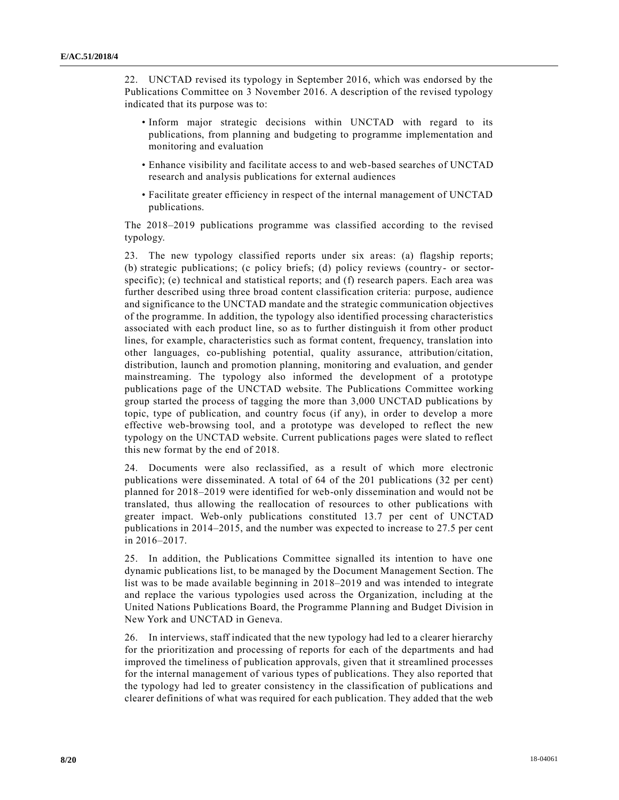22. UNCTAD revised its typology in September 2016, which was endorsed by the Publications Committee on 3 November 2016. A description of the revised typology indicated that its purpose was to:

- Inform major strategic decisions within UNCTAD with regard to its publications, from planning and budgeting to programme implementation and monitoring and evaluation
- Enhance visibility and facilitate access to and web-based searches of UNCTAD research and analysis publications for external audiences
- Facilitate greater efficiency in respect of the internal management of UNCTAD publications.

The 2018–2019 publications programme was classified according to the revised typology.

23. The new typology classified reports under six areas: (a) flagship reports; (b) strategic publications; (c policy briefs; (d) policy reviews (country- or sectorspecific); (e) technical and statistical reports; and (f) research papers. Each area was further described using three broad content classification criteria: purpose, audience and significance to the UNCTAD mandate and the strategic communication objectives of the programme. In addition, the typology also identified processing characteristics associated with each product line, so as to further distinguish it from other product lines, for example, characteristics such as format content, frequency, translation into other languages, co-publishing potential, quality assurance, attribution/citation, distribution, launch and promotion planning, monitoring and evaluation, and gender mainstreaming. The typology also informed the development of a prototype publications page of the UNCTAD website. The Publications Committee working group started the process of tagging the more than 3,000 UNCTAD publications by topic, type of publication, and country focus (if any), in order to develop a more effective web-browsing tool, and a prototype was developed to reflect the new typology on the UNCTAD website. Current publications pages were slated to reflect this new format by the end of 2018.

24. Documents were also reclassified, as a result of which more electronic publications were disseminated. A total of 64 of the 201 publications (32 per cent) planned for 2018–2019 were identified for web-only dissemination and would not be translated, thus allowing the reallocation of resources to other publications with greater impact. Web-only publications constituted 13.7 per cent of UNCTAD publications in 2014–2015, and the number was expected to increase to 27.5 per cent in 2016–2017.

25. In addition, the Publications Committee signalled its intention to have one dynamic publications list, to be managed by the Document Management Section. The list was to be made available beginning in 2018–2019 and was intended to integrate and replace the various typologies used across the Organization, including at the United Nations Publications Board, the Programme Planning and Budget Division in New York and UNCTAD in Geneva.

26. In interviews, staff indicated that the new typology had led to a clearer hierarchy for the prioritization and processing of reports for each of the departments and had improved the timeliness of publication approvals, given that it streamlined processes for the internal management of various types of publications. They also reported that the typology had led to greater consistency in the classification of publications and clearer definitions of what was required for each publication. They added that the web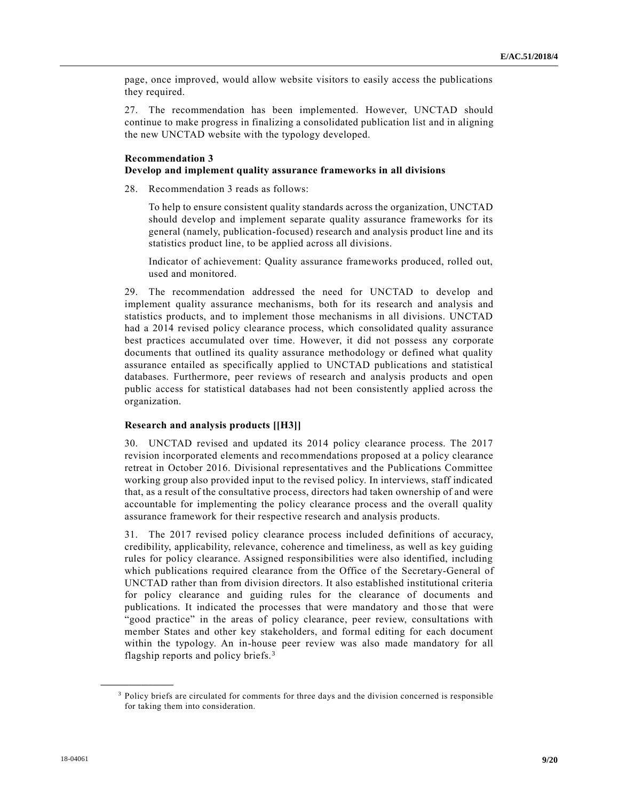page, once improved, would allow website visitors to easily access the publications they required.

27. The recommendation has been implemented. However, UNCTAD should continue to make progress in finalizing a consolidated publication list and in aligning the new UNCTAD website with the typology developed.

#### **Recommendation 3 Develop and implement quality assurance frameworks in all divisions**

28. Recommendation 3 reads as follows:

To help to ensure consistent quality standards across the organization, UNCTAD should develop and implement separate quality assurance frameworks for its general (namely, publication-focused) research and analysis product line and its statistics product line, to be applied across all divisions.

Indicator of achievement: Quality assurance frameworks produced, rolled out, used and monitored.

29. The recommendation addressed the need for UNCTAD to develop and implement quality assurance mechanisms, both for its research and analysis and statistics products, and to implement those mechanisms in all divisions. UNCTAD had a 2014 revised policy clearance process, which consolidated quality assurance best practices accumulated over time. However, it did not possess any corporate documents that outlined its quality assurance methodology or defined what quality assurance entailed as specifically applied to UNCTAD publications and statistical databases. Furthermore, peer reviews of research and analysis products and open public access for statistical databases had not been consistently applied across the organization.

#### **Research and analysis products [[H3]]**

30. UNCTAD revised and updated its 2014 policy clearance process. The 2017 revision incorporated elements and recommendations proposed at a policy clearance retreat in October 2016. Divisional representatives and the Publications Committee working group also provided input to the revised policy. In interviews, staff indicated that, as a result of the consultative process, directors had taken ownership of and were accountable for implementing the policy clearance process and the overall quality assurance framework for their respective research and analysis products.

31. The 2017 revised policy clearance process included definitions of accuracy, credibility, applicability, relevance, coherence and timeliness, as well as key guiding rules for policy clearance. Assigned responsibilities were also identified, including which publications required clearance from the Office of the Secretary-General of UNCTAD rather than from division directors. It also established institutional criteria for policy clearance and guiding rules for the clearance of documents and publications. It indicated the processes that were mandatory and those that were "good practice" in the areas of policy clearance, peer review, consultations with member States and other key stakeholders, and formal editing for each document within the typology. An in-house peer review was also made mandatory for all flagship reports and policy briefs.<sup>3</sup>

<sup>&</sup>lt;sup>3</sup> Policy briefs are circulated for comments for three days and the division concerned is responsible for taking them into consideration.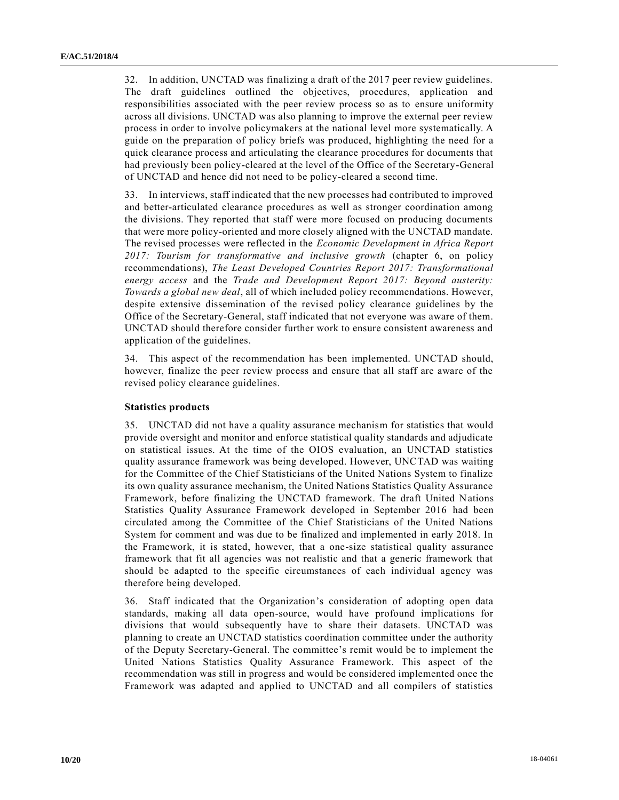32. In addition, UNCTAD was finalizing a draft of the 2017 peer review guidelines. The draft guidelines outlined the objectives, procedures, application and responsibilities associated with the peer review process so as to ensure uniformity across all divisions. UNCTAD was also planning to improve the external peer review process in order to involve policymakers at the national level more systematically. A guide on the preparation of policy briefs was produced, highlighting the need for a quick clearance process and articulating the clearance procedures for documents that had previously been policy-cleared at the level of the Office of the Secretary-General of UNCTAD and hence did not need to be policy-cleared a second time.

33. In interviews, staff indicated that the new processes had contributed to improved and better-articulated clearance procedures as well as stronger coordination among the divisions. They reported that staff were more focused on producing documents that were more policy-oriented and more closely aligned with the UNCTAD mandate. The revised processes were reflected in the *Economic Development in Africa Report 2017: Tourism for transformative and inclusive growth* (chapter 6, on policy recommendations), *The Least Developed Countries Report 2017: Transformational energy access* and the *Trade and Development Report 2017: Beyond austerity: Towards a global new deal*, all of which included policy recommendations. However, despite extensive dissemination of the revised policy clearance guidelines by the Office of the Secretary-General, staff indicated that not everyone was aware of them. UNCTAD should therefore consider further work to ensure consistent awareness and application of the guidelines.

34. This aspect of the recommendation has been implemented. UNCTAD should, however, finalize the peer review process and ensure that all staff are aware of the revised policy clearance guidelines.

#### **Statistics products**

35. UNCTAD did not have a quality assurance mechanism for statistics that would provide oversight and monitor and enforce statistical quality standards and adjudicate on statistical issues. At the time of the OIOS evaluation, an UNCTAD statistics quality assurance framework was being developed. However, UNCTAD was waiting for the Committee of the Chief Statisticians of the United Nations System to finalize its own quality assurance mechanism, the United Nations Statistics Quality Assurance Framework, before finalizing the UNCTAD framework. The draft United Nations Statistics Quality Assurance Framework developed in September 2016 had been circulated among the Committee of the Chief Statisticians of the United Nations System for comment and was due to be finalized and implemented in early 2018. In the Framework, it is stated, however, that a one-size statistical quality assurance framework that fit all agencies was not realistic and that a generic framework that should be adapted to the specific circumstances of each individual agency was therefore being developed.

36. Staff indicated that the Organization's consideration of adopting open data standards, making all data open-source, would have profound implications for divisions that would subsequently have to share their datasets. UNCTAD was planning to create an UNCTAD statistics coordination committee under the authority of the Deputy Secretary-General. The committee's remit would be to implement the United Nations Statistics Quality Assurance Framework. This aspect of the recommendation was still in progress and would be considered implemented once the Framework was adapted and applied to UNCTAD and all compilers of statistics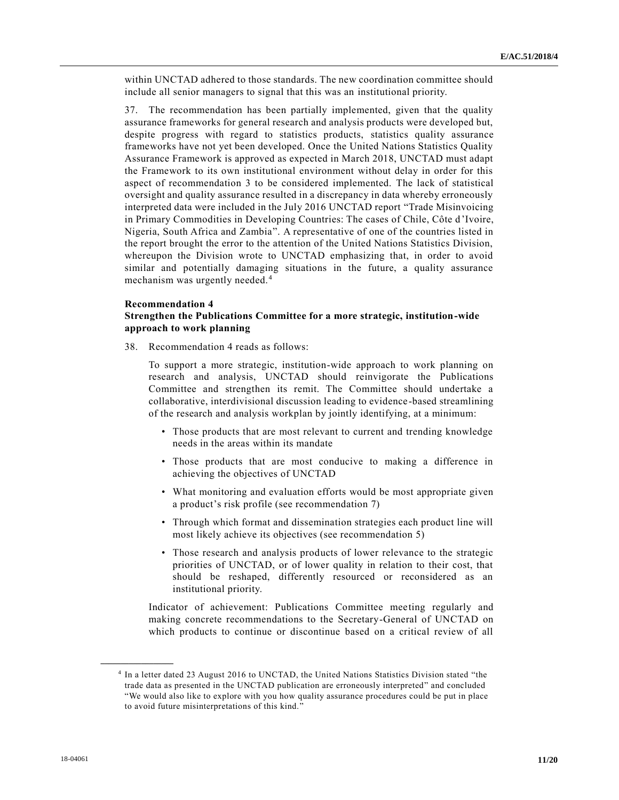within UNCTAD adhered to those standards. The new coordination committee should include all senior managers to signal that this was an institutional priority.

37. The recommendation has been partially implemented, given that the quality assurance frameworks for general research and analysis products were developed but, despite progress with regard to statistics products, statistics quality assurance frameworks have not yet been developed. Once the United Nations Statistics Quality Assurance Framework is approved as expected in March 2018, UNCTAD must adapt the Framework to its own institutional environment without delay in order for this aspect of recommendation 3 to be considered implemented. The lack of statistical oversight and quality assurance resulted in a discrepancy in data whereby erroneously interpreted data were included in the July 2016 UNCTAD report "Trade Misinvoicing in Primary Commodities in Developing Countries: The cases of Chile, Côte d'Ivoire, Nigeria, South Africa and Zambia". A representative of one of the countries listed in the report brought the error to the attention of the United Nations Statistics Division, whereupon the Division wrote to UNCTAD emphasizing that, in order to avoid similar and potentially damaging situations in the future, a quality assurance mechanism was urgently needed.<sup>4</sup>

#### **Recommendation 4**

### **Strengthen the Publications Committee for a more strategic, institution-wide approach to work planning**

38. Recommendation 4 reads as follows:

To support a more strategic, institution-wide approach to work planning on research and analysis, UNCTAD should reinvigorate the Publications Committee and strengthen its remit. The Committee should undertake a collaborative, interdivisional discussion leading to evidence-based streamlining of the research and analysis workplan by jointly identifying, at a minimum:

- Those products that are most relevant to current and trending knowledge needs in the areas within its mandate
- Those products that are most conducive to making a difference in achieving the objectives of UNCTAD
- What monitoring and evaluation efforts would be most appropriate given a product's risk profile (see recommendation 7)
- Through which format and dissemination strategies each product line will most likely achieve its objectives (see recommendation 5)
- Those research and analysis products of lower relevance to the strategic priorities of UNCTAD, or of lower quality in relation to their cost, that should be reshaped, differently resourced or reconsidered as an institutional priority.

Indicator of achievement: Publications Committee meeting regularly and making concrete recommendations to the Secretary-General of UNCTAD on which products to continue or discontinue based on a critical review of all

<sup>4</sup> In a letter dated 23 August 2016 to UNCTAD, the United Nations Statistics Division stated "the trade data as presented in the UNCTAD publication are erroneously interpreted" and concluded "We would also like to explore with you how quality assurance procedures could be put in place to avoid future misinterpretations of this kind."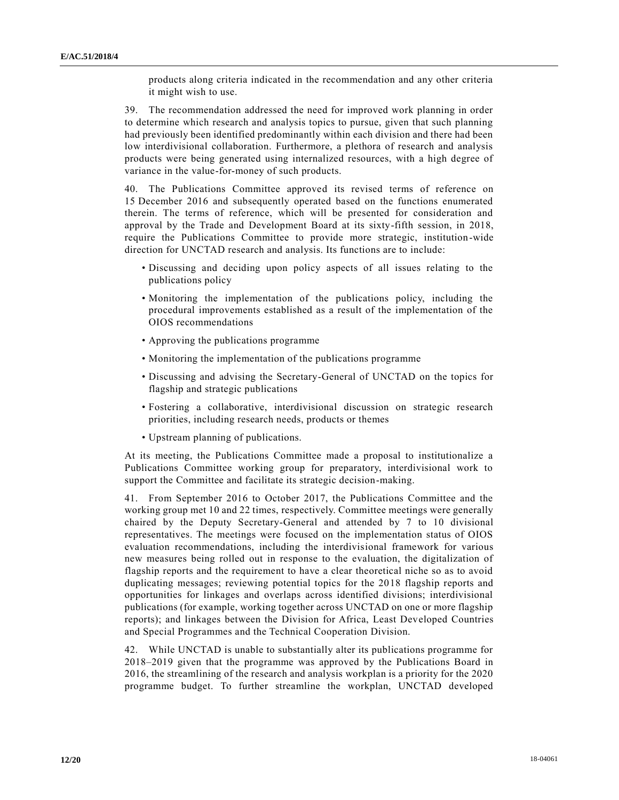products along criteria indicated in the recommendation and any other criteria it might wish to use.

39. The recommendation addressed the need for improved work planning in order to determine which research and analysis topics to pursue, given that such planning had previously been identified predominantly within each division and there had been low interdivisional collaboration. Furthermore, a plethora of research and analysis products were being generated using internalized resources, with a high degree of variance in the value-for-money of such products.

40. The Publications Committee approved its revised terms of reference on 15 December 2016 and subsequently operated based on the functions enumerated therein. The terms of reference, which will be presented for consideration and approval by the Trade and Development Board at its sixty-fifth session, in 2018, require the Publications Committee to provide more strategic, institution-wide direction for UNCTAD research and analysis. Its functions are to include:

- Discussing and deciding upon policy aspects of all issues relating to the publications policy
- Monitoring the implementation of the publications policy, including the procedural improvements established as a result of the implementation of the OIOS recommendations
- Approving the publications programme
- Monitoring the implementation of the publications programme
- Discussing and advising the Secretary-General of UNCTAD on the topics for flagship and strategic publications
- Fostering a collaborative, interdivisional discussion on strategic research priorities, including research needs, products or themes
- Upstream planning of publications.

At its meeting, the Publications Committee made a proposal to institutionalize a Publications Committee working group for preparatory, interdivisional work to support the Committee and facilitate its strategic decision-making.

41. From September 2016 to October 2017, the Publications Committee and the working group met 10 and 22 times, respectively. Committee meetings were generally chaired by the Deputy Secretary-General and attended by 7 to 10 divisional representatives. The meetings were focused on the implementation status of OIOS evaluation recommendations, including the interdivisional framework for various new measures being rolled out in response to the evaluation, the digitalization of flagship reports and the requirement to have a clear theoretical niche so as to avoid duplicating messages; reviewing potential topics for the 2018 flagship reports and opportunities for linkages and overlaps across identified divisions; interdivisional publications (for example, working together across UNCTAD on one or more flagship reports); and linkages between the Division for Africa, Least Developed Countries and Special Programmes and the Technical Cooperation Division.

42. While UNCTAD is unable to substantially alter its publications programme for 2018–2019 given that the programme was approved by the Publications Board in 2016, the streamlining of the research and analysis workplan is a priority for the 2020 programme budget. To further streamline the workplan, UNCTAD developed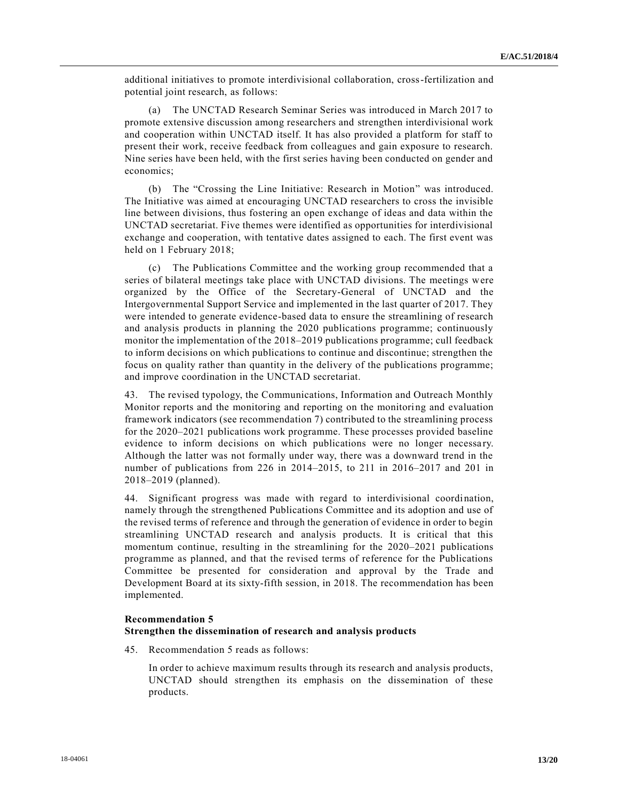additional initiatives to promote interdivisional collaboration, cross-fertilization and potential joint research, as follows:

(a) The UNCTAD Research Seminar Series was introduced in March 2017 to promote extensive discussion among researchers and strengthen interdivisional work and cooperation within UNCTAD itself. It has also provided a platform for staff to present their work, receive feedback from colleagues and gain exposure to research. Nine series have been held, with the first series having been conducted on gender and economics;

(b) The "Crossing the Line Initiative: Research in Motion" was introduced. The Initiative was aimed at encouraging UNCTAD researchers to cross the invisible line between divisions, thus fostering an open exchange of ideas and data within the UNCTAD secretariat. Five themes were identified as opportunities for interdivisional exchange and cooperation, with tentative dates assigned to each. The first event was held on 1 February 2018;

(c) The Publications Committee and the working group recommended that a series of bilateral meetings take place with UNCTAD divisions. The meetings were organized by the Office of the Secretary-General of UNCTAD and the Intergovernmental Support Service and implemented in the last quarter of 2017. They were intended to generate evidence-based data to ensure the streamlining of research and analysis products in planning the 2020 publications programme; continuously monitor the implementation of the 2018–2019 publications programme; cull feedback to inform decisions on which publications to continue and discontinue; strengthen the focus on quality rather than quantity in the delivery of the publications programme; and improve coordination in the UNCTAD secretariat.

43. The revised typology, the Communications, Information and Outreach Monthly Monitor reports and the monitoring and reporting on the monitoring and evaluation framework indicators (see recommendation 7) contributed to the streamlining process for the 2020–2021 publications work programme. These processes provided baseline evidence to inform decisions on which publications were no longer necessary. Although the latter was not formally under way, there was a downward trend in the number of publications from 226 in 2014–2015, to 211 in 2016–2017 and 201 in 2018–2019 (planned).

44. Significant progress was made with regard to interdivisional coordination, namely through the strengthened Publications Committee and its adoption and use of the revised terms of reference and through the generation of evidence in order to begin streamlining UNCTAD research and analysis products. It is critical that this momentum continue, resulting in the streamlining for the 2020–2021 publications programme as planned, and that the revised terms of reference for the Publications Committee be presented for consideration and approval by the Trade and Development Board at its sixty-fifth session, in 2018. The recommendation has been implemented.

#### **Recommendation 5**

#### **Strengthen the dissemination of research and analysis products**

45. Recommendation 5 reads as follows:

In order to achieve maximum results through its research and analysis products, UNCTAD should strengthen its emphasis on the dissemination of these products.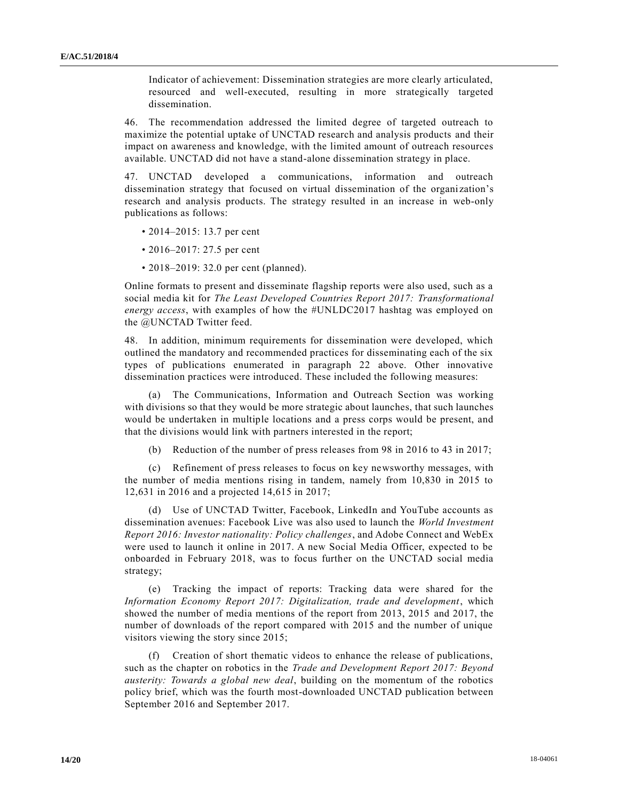Indicator of achievement: Dissemination strategies are more clearly articulated, resourced and well-executed, resulting in more strategically targeted dissemination.

46. The recommendation addressed the limited degree of targeted outreach to maximize the potential uptake of UNCTAD research and analysis products and their impact on awareness and knowledge, with the limited amount of outreach resources available. UNCTAD did not have a stand-alone dissemination strategy in place.

47. UNCTAD developed a communications, information and outreach dissemination strategy that focused on virtual dissemination of the organization's research and analysis products. The strategy resulted in an increase in web-only publications as follows:

- 2014–2015: 13.7 per cent
- 2016–2017: 27.5 per cent
- 2018–2019: 32.0 per cent (planned).

Online formats to present and disseminate flagship reports were also used, such as a social media kit for *The Least Developed Countries Report 2017: Transformational energy access*, with examples of how the #UNLDC2017 hashtag was employed on the @UNCTAD Twitter feed.

48. In addition, minimum requirements for dissemination were developed, which outlined the mandatory and recommended practices for disseminating each of the six types of publications enumerated in paragraph 22 above. Other innovative dissemination practices were introduced. These included the following measures:

(a) The Communications, Information and Outreach Section was working with divisions so that they would be more strategic about launches, that such launches would be undertaken in multiple locations and a press corps would be present, and that the divisions would link with partners interested in the report;

(b) Reduction of the number of press releases from 98 in 2016 to 43 in 2017;

(c) Refinement of press releases to focus on key newsworthy messages, with the number of media mentions rising in tandem, namely from 10,830 in 2015 to 12,631 in 2016 and a projected 14,615 in 2017;

(d) Use of UNCTAD Twitter, Facebook, LinkedIn and YouTube accounts as dissemination avenues: Facebook Live was also used to launch the *World Investment Report 2016: Investor nationality: Policy challenges*, and Adobe Connect and WebEx were used to launch it online in 2017. A new Social Media Officer, expected to be onboarded in February 2018, was to focus further on the UNCTAD social media strategy;

(e) Tracking the impact of reports: Tracking data were shared for the *Information Economy Report 2017: Digitalization, trade and development*, which showed the number of media mentions of the report from 2013, 2015 and 2017, the number of downloads of the report compared with 2015 and the number of unique visitors viewing the story since 2015;

(f) Creation of short thematic videos to enhance the release of publications, such as the chapter on robotics in the *Trade and Development Report 2017: Beyond austerity: Towards a global new deal*, building on the momentum of the robotics policy brief, which was the fourth most-downloaded UNCTAD publication between September 2016 and September 2017.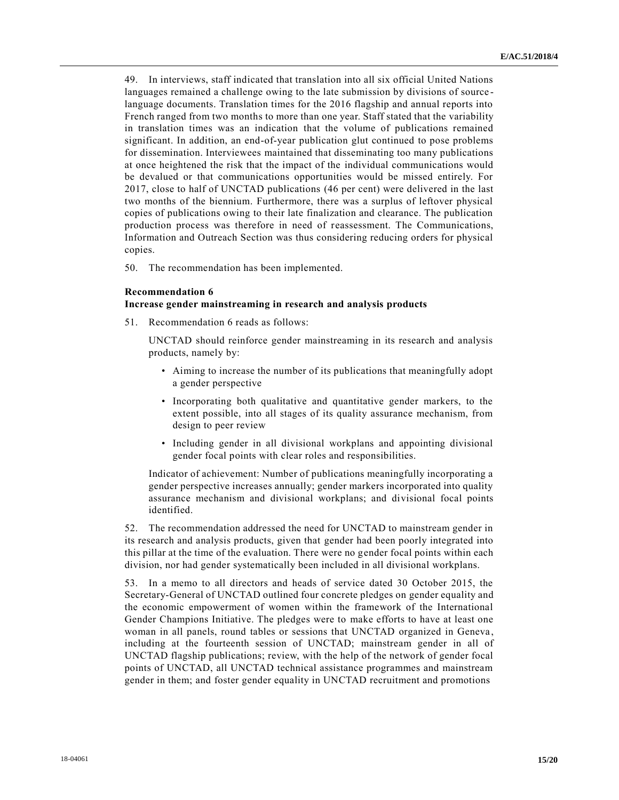49. In interviews, staff indicated that translation into all six official United Nations languages remained a challenge owing to the late submission by divisions of source language documents. Translation times for the 2016 flagship and annual reports into French ranged from two months to more than one year. Staff stated that the variability in translation times was an indication that the volume of publications remained significant. In addition, an end-of-year publication glut continued to pose problems for dissemination. Interviewees maintained that disseminating too many publications at once heightened the risk that the impact of the individual communications would be devalued or that communications opportunities would be missed entirely. For 2017, close to half of UNCTAD publications (46 per cent) were delivered in the last two months of the biennium. Furthermore, there was a surplus of leftover physical copies of publications owing to their late finalization and clearance. The publication production process was therefore in need of reassessment. The Communications, Information and Outreach Section was thus considering reducing orders for physical copies.

50. The recommendation has been implemented.

#### **Recommendation 6**

#### **Increase gender mainstreaming in research and analysis products**

51. Recommendation 6 reads as follows:

UNCTAD should reinforce gender mainstreaming in its research and analysis products, namely by:

- Aiming to increase the number of its publications that meaningfully adopt a gender perspective
- Incorporating both qualitative and quantitative gender markers, to the extent possible, into all stages of its quality assurance mechanism, from design to peer review
- Including gender in all divisional workplans and appointing divisional gender focal points with clear roles and responsibilities.

Indicator of achievement: Number of publications meaningfully incorporating a gender perspective increases annually; gender markers incorporated into quality assurance mechanism and divisional workplans; and divisional focal points identified.

52. The recommendation addressed the need for UNCTAD to mainstream gender in its research and analysis products, given that gender had been poorly integrated into this pillar at the time of the evaluation. There were no gender focal points within each division, nor had gender systematically been included in all divisional workplans.

53. In a memo to all directors and heads of service dated 30 October 2015, the Secretary-General of UNCTAD outlined four concrete pledges on gender equality and the economic empowerment of women within the framework of the International Gender Champions Initiative. The pledges were to make efforts to have at least one woman in all panels, round tables or sessions that UNCTAD organized in Geneva , including at the fourteenth session of UNCTAD; mainstream gender in all of UNCTAD flagship publications; review, with the help of the network of gender focal points of UNCTAD, all UNCTAD technical assistance programmes and mainstream gender in them; and foster gender equality in UNCTAD recruitment and promotions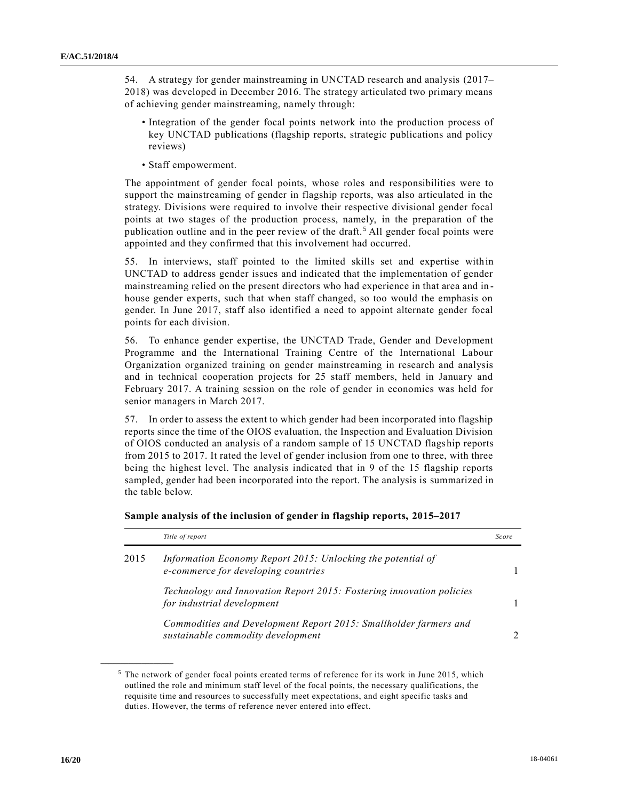54. A strategy for gender mainstreaming in UNCTAD research and analysis (2017– 2018) was developed in December 2016. The strategy articulated two primary means of achieving gender mainstreaming, namely through:

- Integration of the gender focal points network into the production process of key UNCTAD publications (flagship reports, strategic publications and policy reviews)
- Staff empowerment.

The appointment of gender focal points, whose roles and responsibilities were to support the mainstreaming of gender in flagship reports, was also articulated in the strategy. Divisions were required to involve their respective divisional gender focal points at two stages of the production process, namely, in the preparation of the publication outline and in the peer review of the draft. <sup>5</sup> All gender focal points were appointed and they confirmed that this involvement had occurred.

55. In interviews, staff pointed to the limited skills set and expertise within UNCTAD to address gender issues and indicated that the implementation of gender mainstreaming relied on the present directors who had experience in that area and in house gender experts, such that when staff changed, so too would the emphasis on gender. In June 2017, staff also identified a need to appoint alternate gender focal points for each division.

56. To enhance gender expertise, the UNCTAD Trade, Gender and Development Programme and the International Training Centre of the International Labour Organization organized training on gender mainstreaming in research and analysis and in technical cooperation projects for 25 staff members, held in January and February 2017. A training session on the role of gender in economics was held for senior managers in March 2017.

57. In order to assess the extent to which gender had been incorporated into flagship reports since the time of the OIOS evaluation, the Inspection and Evaluation Division of OIOS conducted an analysis of a random sample of 15 UNCTAD flagship reports from 2015 to 2017. It rated the level of gender inclusion from one to three, with three being the highest level. The analysis indicated that in 9 of the 15 flagship reports sampled, gender had been incorporated into the report. The analysis is summarized in the table below.

|      | Title of report                                                                                       | Score         |
|------|-------------------------------------------------------------------------------------------------------|---------------|
| 2015 | Information Economy Report 2015: Unlocking the potential of<br>e-commerce for developing countries    |               |
|      | Technology and Innovation Report 2015: Fostering innovation policies<br>for industrial development    |               |
|      | Commodities and Development Report 2015: Smallholder farmers and<br>sustainable commodity development | $\mathcal{D}$ |

**Sample analysis of the inclusion of gender in flagship reports, 2015–2017** 

 $5$  The network of gender focal points created terms of reference for its work in June 2015, which outlined the role and minimum staff level of the focal points, the necessary qualifications, the requisite time and resources to successfully meet expectations, and eight specific tasks and duties. However, the terms of reference never entered into effect.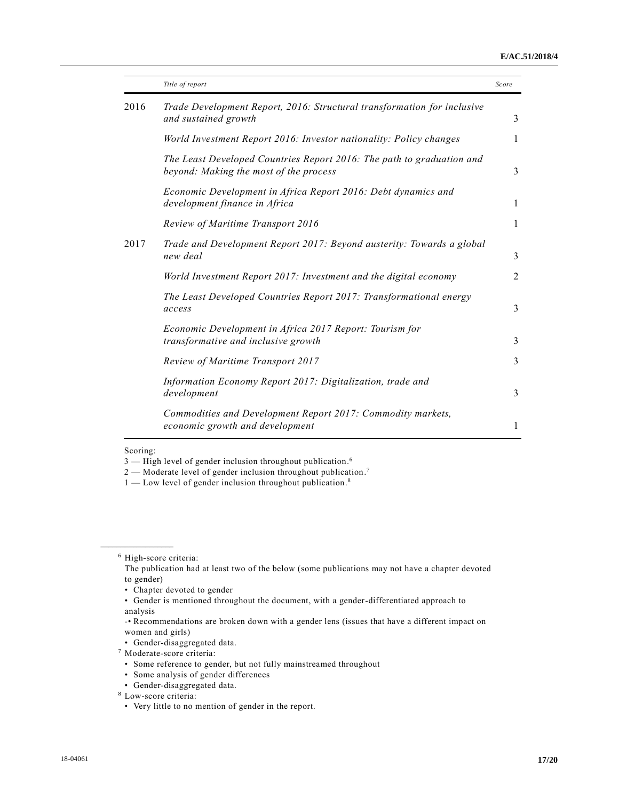#### **E/AC.51/2018/4**

|      | Title of report                                                                                                 | Score          |
|------|-----------------------------------------------------------------------------------------------------------------|----------------|
| 2016 | Trade Development Report, 2016: Structural transformation for inclusive<br>and sustained growth                 | 3              |
|      | World Investment Report 2016: Investor nationality: Policy changes                                              | 1              |
|      | The Least Developed Countries Report 2016: The path to graduation and<br>beyond: Making the most of the process | 3              |
|      | Economic Development in Africa Report 2016: Debt dynamics and<br>development finance in Africa                  | $\mathbf{1}$   |
|      | Review of Maritime Transport 2016                                                                               | $\mathbf{1}$   |
| 2017 | Trade and Development Report 2017: Beyond austerity: Towards a global<br>new deal                               | 3              |
|      | World Investment Report 2017: Investment and the digital economy                                                | $\overline{2}$ |
|      | The Least Developed Countries Report 2017: Transformational energy<br>access                                    | 3              |
|      | Economic Development in Africa 2017 Report: Tourism for<br>transformative and inclusive growth                  | 3              |
|      | Review of Maritime Transport 2017                                                                               | 3              |
|      | Information Economy Report 2017: Digitalization, trade and<br>development                                       | $\mathfrak{Z}$ |
|      | Commodities and Development Report 2017: Commodity markets,<br>economic growth and development                  | 1              |

#### Scoring:

**\_\_\_\_\_\_\_\_\_\_\_\_\_\_\_\_\_\_**

 $1 -$  Low level of gender inclusion throughout publication.<sup>8</sup>

<sup>3 –</sup> High level of gender inclusion throughout publication.<sup>6</sup>

 $2$  — Moderate level of gender inclusion throughout publication.<sup>7</sup>

<sup>6</sup> High-score criteria:

The publication had at least two of the below (some publications may not have a chapter devoted to gender)

<sup>•</sup> Chapter devoted to gender

<sup>•</sup> Gender is mentioned throughout the document, with a gender-differentiated approach to analysis

<sup>-•</sup> Recommendations are broken down with a gender lens (issues that have a different impact on women and girls)

<sup>•</sup> Gender-disaggregated data.

<sup>7</sup> Moderate-score criteria:

<sup>•</sup> Some reference to gender, but not fully mainstreamed throughout

<sup>•</sup> Some analysis of gender differences

<sup>•</sup> Gender-disaggregated data.

<sup>8</sup> Low-score criteria:

<sup>•</sup> Very little to no mention of gender in the report.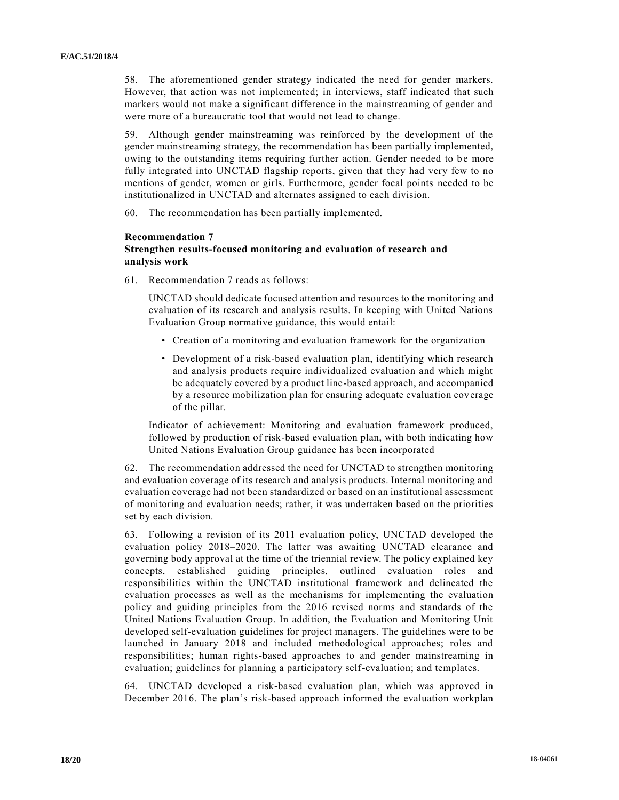58. The aforementioned gender strategy indicated the need for gender markers. However, that action was not implemented; in interviews, staff indicated that such markers would not make a significant difference in the mainstreaming of gender and were more of a bureaucratic tool that would not lead to change.

59. Although gender mainstreaming was reinforced by the development of the gender mainstreaming strategy, the recommendation has been partially implemented, owing to the outstanding items requiring further action. Gender needed to be more fully integrated into UNCTAD flagship reports, given that they had very few to no mentions of gender, women or girls. Furthermore, gender focal points needed to be institutionalized in UNCTAD and alternates assigned to each division.

60. The recommendation has been partially implemented.

#### **Recommendation 7**

### **Strengthen results-focused monitoring and evaluation of research and analysis work**

61. Recommendation 7 reads as follows:

UNCTAD should dedicate focused attention and resources to the monitoring and evaluation of its research and analysis results. In keeping with United Nations Evaluation Group normative guidance, this would entail:

- Creation of a monitoring and evaluation framework for the organization
- Development of a risk-based evaluation plan, identifying which research and analysis products require individualized evaluation and which might be adequately covered by a product line-based approach, and accompanied by a resource mobilization plan for ensuring adequate evaluation coverage of the pillar.

Indicator of achievement: Monitoring and evaluation framework produced, followed by production of risk-based evaluation plan, with both indicating how United Nations Evaluation Group guidance has been incorporated

62. The recommendation addressed the need for UNCTAD to strengthen monitoring and evaluation coverage of its research and analysis products. Internal monitoring and evaluation coverage had not been standardized or based on an institutional assessment of monitoring and evaluation needs; rather, it was undertaken based on the priorities set by each division.

63. Following a revision of its 2011 evaluation policy, UNCTAD developed the evaluation policy 2018–2020. The latter was awaiting UNCTAD clearance and governing body approval at the time of the triennial review. The policy explained key concepts, established guiding principles, outlined evaluation roles and responsibilities within the UNCTAD institutional framework and delineated the evaluation processes as well as the mechanisms for implementing the evaluation policy and guiding principles from the 2016 revised norms and standards of the United Nations Evaluation Group. In addition, the Evaluation and Monitoring Unit developed self-evaluation guidelines for project managers. The guidelines were to be launched in January 2018 and included methodological approaches; roles and responsibilities; human rights-based approaches to and gender mainstreaming in evaluation; guidelines for planning a participatory self-evaluation; and templates.

64. UNCTAD developed a risk-based evaluation plan, which was approved in December 2016. The plan's risk-based approach informed the evaluation workplan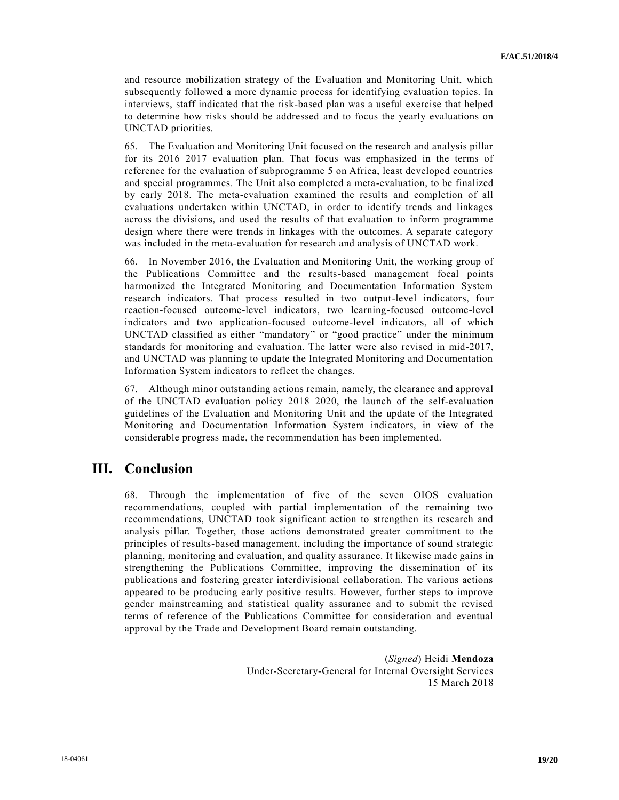and resource mobilization strategy of the Evaluation and Monitoring Unit, which subsequently followed a more dynamic process for identifying evaluation topics. In interviews, staff indicated that the risk-based plan was a useful exercise that helped to determine how risks should be addressed and to focus the yearly evaluations on UNCTAD priorities.

65. The Evaluation and Monitoring Unit focused on the research and analysis pillar for its 2016–2017 evaluation plan. That focus was emphasized in the terms of reference for the evaluation of subprogramme 5 on Africa, least developed countries and special programmes. The Unit also completed a meta-evaluation, to be finalized by early 2018. The meta-evaluation examined the results and completion of all evaluations undertaken within UNCTAD, in order to identify trends and linkages across the divisions, and used the results of that evaluation to inform programme design where there were trends in linkages with the outcomes. A separate category was included in the meta-evaluation for research and analysis of UNCTAD work.

66. In November 2016, the Evaluation and Monitoring Unit, the working group of the Publications Committee and the results-based management focal points harmonized the Integrated Monitoring and Documentation Information System research indicators. That process resulted in two output-level indicators, four reaction-focused outcome-level indicators, two learning-focused outcome-level indicators and two application-focused outcome-level indicators, all of which UNCTAD classified as either "mandatory" or "good practice" under the minimum standards for monitoring and evaluation. The latter were also revised in mid-2017, and UNCTAD was planning to update the Integrated Monitoring and Documentation Information System indicators to reflect the changes.

67. Although minor outstanding actions remain, namely, the clearance and approval of the UNCTAD evaluation policy 2018–2020, the launch of the self-evaluation guidelines of the Evaluation and Monitoring Unit and the update of the Integrated Monitoring and Documentation Information System indicators, in view of the considerable progress made, the recommendation has been implemented.

# **III. Conclusion**

68. Through the implementation of five of the seven OIOS evaluation recommendations, coupled with partial implementation of the remaining two recommendations, UNCTAD took significant action to strengthen its research and analysis pillar. Together, those actions demonstrated greater commitment to the principles of results-based management, including the importance of sound strategic planning, monitoring and evaluation, and quality assurance. It likewise made gains in strengthening the Publications Committee, improving the dissemination of its publications and fostering greater interdivisional collaboration. The various actions appeared to be producing early positive results. However, further steps to improve gender mainstreaming and statistical quality assurance and to submit the revised terms of reference of the Publications Committee for consideration and eventual approval by the Trade and Development Board remain outstanding.

> (*Signed*) Heidi **Mendoza** Under-Secretary-General for Internal Oversight Services 15 March 2018